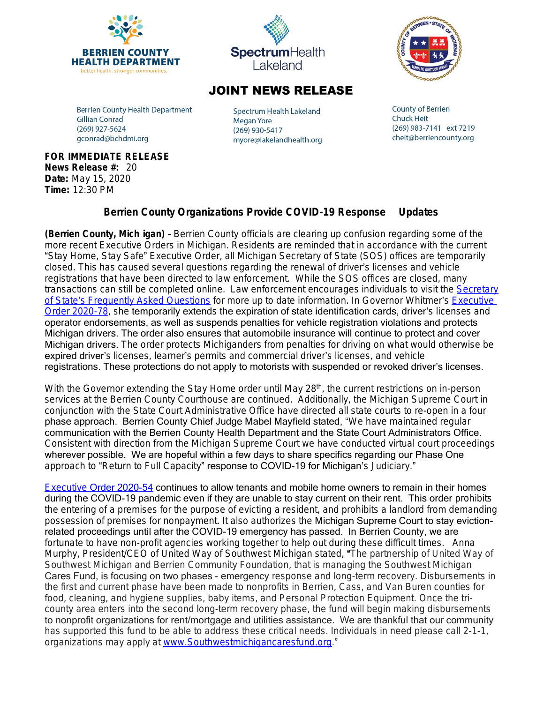





## **JOINT NEWS RELEASE**

**Berrien County Health Department Gillian Conrad** (269) 927-5624 gconrad@bchdmi.org

Spectrum Health Lakeland **Megan Yore** (269) 930-5417 myore@lakelandhealth.org **County of Berrien Chuck Heit** (269) 983-7141 ext 7219 cheit@berriencounty.org

## **FOR IMMEDIATE RELEASE News Release #:** 20 **Date:** May 15, 2020 **Time:** 12:30 PM

## **Berrien County Organizations Provide COVID-19 Response Updates**

**(Berrien County, Mich igan)** – Berrien County officials are clearing up confusion regarding some of the more recent Executive Orders in Michigan. Residents are reminded that in accordance with the current "Stay Home, Stay Safe" Executive Order, all Michigan Secretary of State (SOS) offices are temporarily closed. This has caused several questions regarding the renewal of driver's licenses and vehicle registrations that have been directed to law enforcement. While the SOS offices are closed, many transactions can still be completed online. Law enforcement encourages individuals to visit the [Secretary](https://www.michigan.gov/sos) of State's Frequently Asked Questions for more up to date information. In Governor Whitmer's Executive [Order 2020-78,](https://content.govdelivery.com/attachments/MIEOG/2020/05/08/file_attachments/1447335/EO%202020-78%20Emerg%20order%20-%20driver%20license%20-%20re-issue.pdf) she temporarily extends the expiration of state identification cards, driver's licenses and operator endorsements, as well as suspends penalties for vehicle registration violations and protects Michigan drivers. The order also ensures that automobile insurance will continue to protect and cover Michigan drivers. The order protects Michiganders from penalties for driving on what would otherwise be expired driver's licenses, learner's permits and commercial driver's licenses, and vehicle registrations. These protections do not apply to motorists with suspended or revoked driver's licenses.

With the Governor extending the Stay Home order until May 28<sup>th</sup>, the current restrictions on in-person services at the Berrien County Courthouse are continued. Additionally, the Michigan Supreme Court in conjunction with the State Court Administrative Office have directed all state courts to re-open in a four phase approach. Berrien County Chief Judge Mabel Mayfield stated, "We have maintained regular communication with the Berrien County Health Department and the State Court Administrators Office. Consistent with direction from the Michigan Supreme Court we have conducted virtual court proceedings wherever possible. We are hopeful within a few days to share specifics regarding our Phase One approach to "Return to Full Capacity" response to COVID-19 for Michigan's Judiciary."

[Executive](https://content.govdelivery.com/attachments/MIEOG/2020/04/17/file_attachments/1430366/EO%202020-54%20Emerg%20order%20-%20evictions%20-%20re-issue.pdf) [Order 2020-54](https://content.govdelivery.com/attachments/MIEOG/2020/04/17/file_attachments/1430366/EO%202020-54%20Emerg%20order%20-%20evictions%20-%20re-issue.pdf) continues to allow tenants and mobile home owners to remain in their homes during the COVID-19 pandemic even if they are unable to stay current on their rent. This order prohibits the entering of a premises for the purpose of evicting a resident, and prohibits a landlord from demanding possession of premises for nonpayment. It also authorizes the Michigan Supreme Court to stay evictionrelated proceedings until after the COVID-19 emergency has passed. In Berrien County, we are fortunate to have non-profit agencies working together to help out during these difficult times. Anna Murphy, President/CEO of United Way of Southwest Michigan stated, "The partnership of United Way of Southwest Michigan and Berrien Community Foundation, that is managing the Southwest Michigan Cares Fund, is focusing on two phases - emergency response and long-term recovery*.* Disbursements in the first and current phase have been made to nonprofits in Berrien, Cass, and Van Buren counties for food, cleaning, and hygiene supplies, baby items, and Personal Protection Equipment. Once the tricounty area enters into the second long-term recovery phase, the fund will begin making disbursements to nonprofit organizations for rent/mortgage and utilities assistance. We are thankful that our community has supported this fund to be able to address these critical needs. Individuals in need please call 2-1-1, organizations may apply at [www.Southwestmichigancaresfund.org.](http://www.Southwestmichigancaresfund.org)"